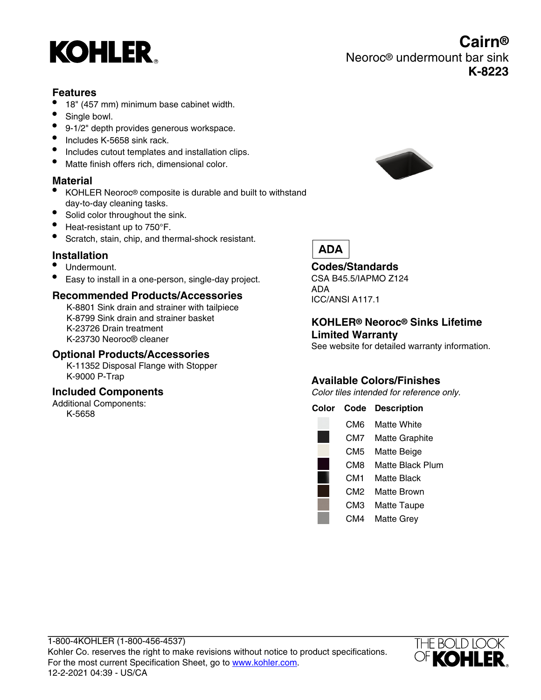

# **Features**

- 18" (457 mm) minimum base cabinet width.
- Single bowl.
- 9-1/2" depth provides generous workspace.
- Includes K-5658 sink rack.
- Includes cutout templates and installation clips.
- Matte finish offers rich, dimensional color.

# **Material**

- KOHLER Neoroc® composite is durable and built to withstand day-to-day cleaning tasks.
- Solid color throughout the sink.
- Heat-resistant up to 750°F.
- Scratch, stain, chip, and thermal-shock resistant.

# **Installation**

- Undermount.
- Easy to install in a one-person, single-day project.

#### **Recommended Products/Accessories**

K-8801 Sink drain and strainer with tailpiece K-8799 Sink drain and strainer basket K-23726 Drain treatment K-23730 Neoroc® cleaner

#### **Optional Products/Accessories**

K-11352 Disposal Flange with Stopper K-9000 P-Trap

#### **Included Components**

Additional Components: K-5658



Neoroc® undermount bar sink

**Cairn®**

**K-8223**

# **ADA**

#### **Codes/Standards**

CSA B45.5/IAPMO Z124 ADA ICC/ANSI A117.1

# **KOHLER® Neoroc® Sinks Lifetime Limited Warranty**

See website for detailed warranty information.

# **Available Colors/Finishes**

Color tiles intended for reference only.

| Color | Code | <b>Description</b>    |
|-------|------|-----------------------|
|       | CM6  | Matte White           |
|       | CM7  | <b>Matte Graphite</b> |
|       | CM5  | Matte Beige           |
|       | CM8  | Matte Black Plum      |
|       | CM1  | Matte Black           |
|       | CM2  | Matte Brown           |
|       | СМЗ  | <b>Matte Taupe</b>    |
|       | CM4  | Matte Grev            |